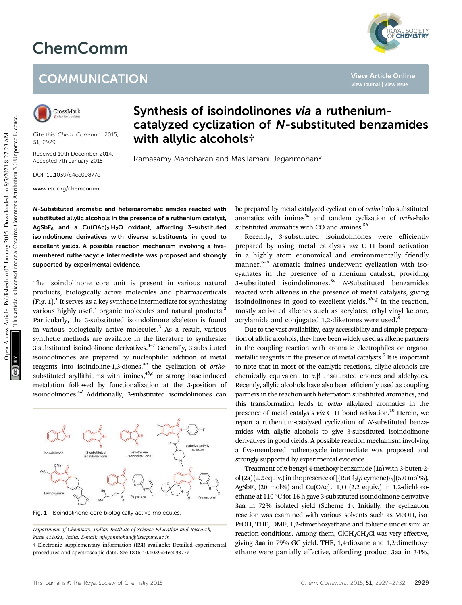## ChemComm

## **COMMUNICATION**



Cite this: *Chem. Commun.,* 2015, 51, 2929

Received 10th December 2014, Accepted 7th January 2015

DOI: 10.1039/c4cc09877c

www.rsc.org/chemcomm

## Synthesis of isoindolinones via a rutheniumcatalyzed cyclization of N-substituted benzamides with allylic alcohols†

Ramasamy Manoharan and Masilamani Jeganmohan\*

N-Substituted aromatic and heteroaromatic amides reacted with substituted allylic alcohols in the presence of a ruthenium catalyst,  $\mathsf{AgSbF}_6$  and a  $\mathsf{Cu(OAc)_2\cdot H_2O}$  oxidant, affording 3-substituted isoindolinone derivatives with diverse substituents in good to excellent yields. A possible reaction mechanism involving a fivemembered ruthenacycle intermediate was proposed and strongly supported by experimental evidence.

The isoindolinone core unit is present in various natural products, biologically active molecules and pharmaceuticals (Fig.  $1$ ).<sup>1</sup> It serves as a key synthetic intermediate for synthesizing various highly useful organic molecules and natural products.<sup>2</sup> Particularly, the 3-substituted isoindolinone skeleton is found in various biologically active molecules.<sup>3</sup> As a result, various synthetic methods are available in the literature to synthesize 3-substituted isoindolinone derivatives. $4-7$  Generally, 3-substituted isoindolinones are prepared by nucleophilic addition of metal reagents into isoindoline-1,3-diones,<sup>4a</sup> the cyclization of *ortho*substituted aryllithiums with imines,<sup>4b,c</sup> or strong base-induced metalation followed by functionalization at the 3-position of isoindolinones.<sup>4d</sup> Additionally, 3-substituted isoindolinones can



Fig. 1 Isoindolinone core biologically active molecules

*Department of Chemistry, Indian Institute of Science Education and Research, Pune 411021, India. E-mail: mjeganmohan@iiserpune.ac.in* † Electronic supplementary information (ESI) available: Detailed experimental

procedures and spectroscopic data. See DOI: 10.1039/c4cc09877c

be prepared by metal-catalyzed cyclization of *ortho*-halo substituted aromatics with imines<sup>5a</sup> and tandem cyclization of *ortho*-halo substituted aromatics with CO and amines.<sup>5*b*</sup>

**View Article Online**

YAL SOCIETY<br>**CHEMISTRY** 

Recently, 3-substituted isoindolinones were efficiently prepared by using metal catalysts *via* C–H bond activation in a highly atom economical and environmentally friendly manner.<sup>6-8</sup> Aromatic imines underwent cyclization with isocyanates in the presence of a rhenium catalyst, providing 3-substituted isoindolinones.8*<sup>a</sup> N*-Substituted benzamides reacted with alkenes in the presence of metal catalysts, giving isoindolinones in good to excellent yields.<sup>8b-g</sup> In the reaction, mostly activated alkenes such as acrylates, ethyl vinyl ketone, acrylamide and conjugated 1,2-diketones were used.<sup>8</sup>

Due to the vast availability, easy accessibility and simple preparation of allylic alcohols, they have been widely used as alkene partners in the coupling reaction with aromatic electrophiles or organometallic reagents in the presence of metal catalysts.<sup>9</sup> It is important to note that in most of the catalytic reactions, allylic alcohols are chemically equivalent to  $\alpha$ , $\beta$ -unsaturated enones and aldehydes. Recently, allylic alcohols have also been efficiently used as coupling partners in the reaction with heteroatom substituted aromatics, and this transformation leads to *ortho* alkylated aromatics in the presence of metal catalysts *via* C–H bond activation.<sup>10</sup> Herein, we report a ruthenium-catalyzed cyclization of *N*-substituted benzamides with allylic alcohols to give 3-substituted isoindolinone derivatives in good yields. A possible reaction mechanism involving a five-membered ruthenacycle intermediate was proposed and strongly supported by experimental evidence.

Treatment of *n*-benzyl 4-methoxy benzamide (1a) with 3-buten-2 ol  $(2a)(2.2$  equiv.) in the presence of  $[\{RuCl_2(p\text{-symene})\}_2]$  (5.0 mol%), AgSbF<sub>6</sub> (20 mol%) and Cu(OAc)<sub>2</sub>·H<sub>2</sub>O (2.2 equiv.) in 1,2-dichloroethane at 110 $\degree$ C for 16 h gave 3-substituted isoindolinone derivative 3aa in 72% isolated yield (Scheme 1). Initially, the cyclization reaction was examined with various solvents such as MeOH, iso-PrOH, THF, DMF, 1,2-dimethoxyethane and toluene under similar reaction conditions. Among them,  $CICH_2CH_2Cl$  was very effective, giving 3aa in 79% GC yield. THF, 1,4-dioxane and 1,2-dimethoxyethane were partially effective, affording product 3aa in 34%,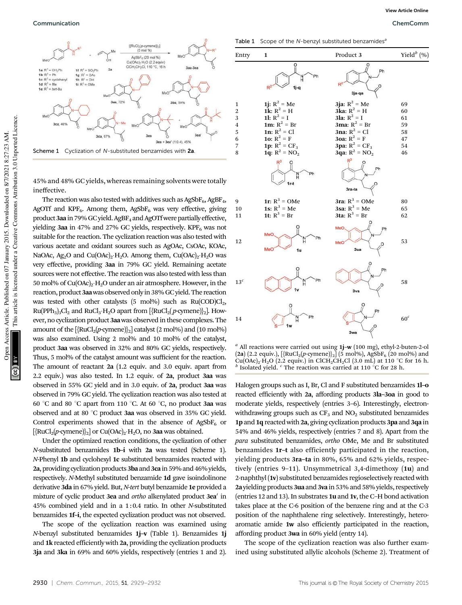

45% and 48% GC yields, whereas remaining solvents were totally ineffective.

The reaction was also tested with additives such as  $AgSbF_6$ ,  $AgBF_4$ , AgOTf and KPF<sub>6</sub>. Among them, AgSbF<sub>6</sub> was very effective, giving product 3aa in 79% GC yield. AgBF<sub>4</sub> and AgOTf were partially effective, yielding 3aa in 47% and 27% GC yields, respectively.  $KPF_6$  was not suitable for the reaction. The cyclization reaction was also tested with various acetate and oxidant sources such as AgOAc, CsOAc, KOAc, NaOAc, Ag<sub>2</sub>O and Cu $(OAc)_2 \cdot H_2O$ . Among them, Cu $(OAc)_2 \cdot H_2O$  was very effective, providing 3aa in 79% GC yield. Remaining acetate sources were not effective. The reaction was also tested with less than 50 mol% of Cu(OAc)<sub>2</sub>. H<sub>2</sub>O under an air atmosphere. However, in the reaction, product 3aawas observed only in 38%GC yield. The reaction was tested with other catalysts (5 mol%) such as  $Ru(COD)Cl<sub>2</sub>$ , Ru(PPh<sub>3</sub>)<sub>3</sub>Cl<sub>2</sub> and RuCl<sub>3</sub>·H<sub>2</sub>O apart from [{RuCl<sub>2</sub>( *p*-cymene)}<sub>2</sub>]. However, no cyclization product 3aawas observed in these complexes. The amount of the  $[\text{RuCl}_2(p\text{-cymene})]_2]$  catalyst (2 mol%) and (10 mol%) was also examined. Using 2 mol% and 10 mol% of the catalyst, product 3aa was observed in 32% and 80% GC yields, respectively. Thus, 5 mol% of the catalyst amount was sufficient for the reaction. The amount of reactant 2a (1.2 equiv. and 3.0 equiv. apart from 2.2 equiv.) was also tested. In 1.2 equiv. of 2a, product 3aa was observed in 55% GC yield and in 3.0 equiv. of 2a, product 3aa was observed in 79% GC yield. The cyclization reaction was also tested at 60 °C and 80 °C apart from 110 °C. At 60 °C, no product 3aa was observed and at 80 °C product 3aa was observed in 35% GC yield. Control experiments showed that in the absence of AgSbF<sub>6</sub> or [{RuCl<sub>2</sub>(p-cymene)}<sub>2</sub>] or Cu(OAc)<sub>2</sub>·H<sub>2</sub>O, no 3aa was obtained.

Under the optimized reaction conditions, the cyclization of other *N*-substituted benzamides 1b–i with 2a was tested (Scheme 1). *N*-Phenyl 1b and cyclohexyl 1c substituted benzamides reacted with 2a, providing cyclization products 3ba and 3ca in 59% and 46% yields, respectively. *N*-Methyl substituted benzamide 1d gave isoindolinone derivative 3da in 67% yield. But, *N*-*tert* butyl benzamide 1e provided a mixture of cyclic product 3ea and ortho alkenylated product 3ea' in 45% combined yield and in a 1: 0.4 ratio. In other *N*-substituted benzamides 1f–i, the expected cyclization product was not observed.

The scope of the cyclization reaction was examined using *N*-benzyl substituted benzamides 1j–v (Table 1). Benzamides 1j and 1k reacted efficiently with 2a, providing the cyclization products 3ja and 3ka in 69% and 60% yields, respectively (entries 1 and 2).

Table 1 Scope of the N-benzyl substituted benzamides<sup>6</sup>



*a* All reactions were carried out using 1j–w (100 mg), ethyl-2-buten-2-ol  $(2a)$  (2.2 equiv.),  $[\{RuCl_2(p\text{-symene})\}_2]$  (5 mol%), AgSbF<sub>6</sub> (20 mol%) and  $\text{Cu(OAc)}_2 \cdot \text{H}_2\text{O}$  (2.2 equiv.) in ClCH<sub>2</sub>CH<sub>2</sub>Cl (3.0 mL) at 110 °C for 16 h. *b* Isolated yield. <sup>c</sup> The reaction was carried at 110 °C for 28 h.

Halogen groups such as I, Br, Cl and F substituted benzamides 1l–o reacted efficiently with 2a, affording products 3la–3oa in good to moderate yields, respectively (entries 3–6). Interestingly, electronwithdrawing groups such as  $CF_3$  and  $NO_2$  substituted benzamides 1p and 1q reacted with 2a, giving cyclization products 3pa and 3qa in 54% and 46% yields, respectively (entries 7 and 8). Apart from the *para* substituted benzamides, *ortho* OMe, Me and Br substituted benzamides 1r–t also efficiently participated in the reaction, yielding products 3ra–ta in 80%, 65% and 62% yields, respectively (entries 9–11). Unsymmetrical 3,4-dimethoxy (1u) and 2-naphthyl (1v) substituted benzamides regioselectively reacted with 2a yielding products 3ua and 3va in 53% and 58% yields, respectively (entries 12 and 13). In substrates 1u and 1v, the C–H bond activation takes place at the C-6 position of the benzene ring and at the C-3 position of the naphthalene ring selectively. Interestingly, heteroaromatic amide 1w also efficiently participated in the reaction, affording product 3wa in 60% yield (entry 14).

The scope of the cyclization reaction was also further examined using substituted allylic alcohols (Scheme 2). Treatment of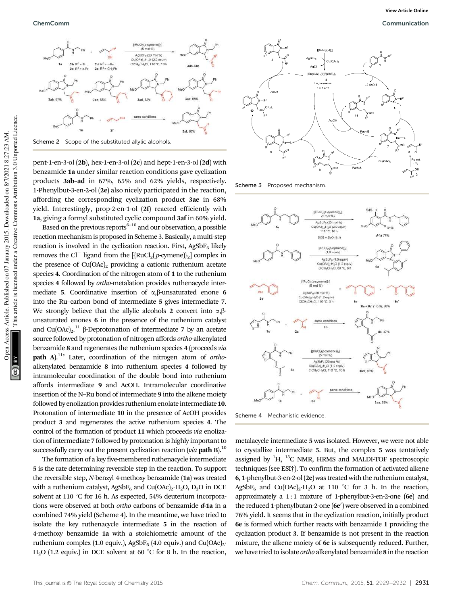

Scheme 2 Scope of the substituted allylic alcohols.

pent-1-en-3-ol (2b), hex-1-en-3-ol (2c) and hept-1-en-3-ol (2d) with benzamide 1a under similar reaction conditions gave cyclization products 3ab–ad in 67%, 65% and 62% yields, respectively. 1-Phenylbut-3-en-2-ol (2e) also nicely participated in the reaction, affording the corresponding cyclization product 3ae in 68% yield. Interestingly, prop-2-en-1-ol (2f) reacted efficiently with 1a, giving a formyl substituted cyclic compound 3af in 60% yield.

Based on the previous reports<sup> $6-10$ </sup> and our observation, a possible reaction mechanism is proposed in Scheme 3. Basically, a multi-step reaction is involved in the cyclization reaction. First, AgSbF $_6$  likely removes the Cl<sup>-</sup> ligand from the  $[\text{RuCl}_2(p\text{-cymene})]_2]$  complex in the presence of  $Cu(OAc)_2$  providing a cationic ruthenium acetate species 4. Coordination of the nitrogen atom of 1 to the ruthenium species 4 followed by *ortho*-metalation provides ruthenacycle intermediate 5. Coordinative insertion of  $\alpha$ ,  $\beta$ -unsaturated enone 6 into the Ru–carbon bond of intermediate 5 gives intermediate 7. We strongly believe that the allylic alcohols 2 convert into  $\alpha$ ,  $\beta$ unsaturated enones 6 in the presence of the ruthenium catalyst and  $Cu(OAc)<sub>2</sub>$ .<sup>11</sup>  $\beta$ -Deprotonation of intermediate 7 by an acetate source followed by protonation of nitrogen affords *ortho*-alkenylated benzamide 8 and regenerates the ruthenium species 4 (proceeds *via* path A).11*<sup>c</sup>* Later, coordination of the nitrogen atom of *ortho*alkenylated benzamide 8 into ruthenium species 4 followed by intramolecular coordination of the double bond into ruthenium affords intermediate 9 and AcOH. Intramolecular coordinative insertion of the N–Ru bond of intermediate 9 into the alkene moiety followed by enolization provides ruthenium enolate intermediate 10. Protonation of intermediate 10 in the presence of AcOH provides product 3 and regenerates the active ruthenium species 4. The control of the formation of product 11 which proceeds *via* enolization of intermediate 7 followed by protonation is highly important to successfully carry out the present cyclization reaction (*via* path B).<sup>10</sup>

The formation of a key five-membered ruthenacycle intermediate 5 is the rate determining reversible step in the reaction. To support the reversible step, *N*-benzyl 4-methoxy benzamide (1a) was treated with a ruthenium catalyst, Ag $SbF_6$  and Cu $(OAc)_2 \cdot H_2O$ , D<sub>2</sub>O in DCE solvent at 110  $\degree$ C for 16 h. As expected, 54% deuterium incorporations were observed at both *ortho* carbons of benzamide d-1a in a combined 74% yield (Scheme 4). In the meantime, we have tried to isolate the key ruthenacycle intermediate 5 in the reaction of 4-methoxy benzamide 1a with a stoichiometric amount of the ruthenium complex (1.0 equiv.), AgSbF<sub>6</sub> (4.0 equiv.) and Cu(OAc)<sub>2</sub>. H<sub>2</sub>O (1.2 equiv.) in DCE solvent at 60  $^{\circ}$ C for 8 h. In the reaction,



Scheme 3 Proposed mechanism



Scheme 4 Mechanistic evidence

metalacycle intermediate 5 was isolated. However, we were not able to crystallize intermediate 5. But, the complex 5 was tentatively assigned by  ${}^{1}H$ ,  ${}^{13}C$  NMR, HRMS and MALDI-TOF spectroscopic techniques (see ESI†). To confirm the formation of activated alkene 6, 1-phenylbut-3-en-2-ol (2e) was treated with the ruthenium catalyst, AgSbF<sub>6</sub> and Cu(OAc)<sub>2</sub>·H<sub>2</sub>O at 110 °C for 3 h. In the reaction, approximately a 1:1 mixture of 1-phenylbut-3-en-2-one (6e) and the reduced 1-phenylbutan-2-one (6e') were observed in a combined 76% yield. It seems that in the cyclization reaction, initially product 6e is formed which further reacts with benzamide 1 providing the cyclization product 3. If benzamide is not present in the reaction mixture, the alkene moiety of 6e is subsequently reduced. Further, we have tried to isolate *ortho* alkenylated benzamide 8 in the reaction